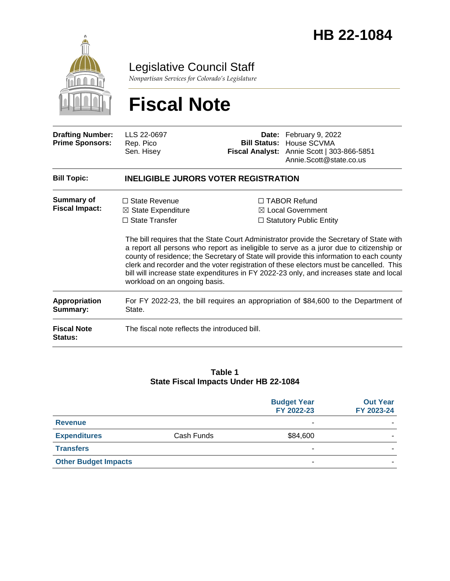

Legislative Council Staff

*Nonpartisan Services for Colorado's Legislature*

# **Fiscal Note**

| <b>Drafting Number:</b><br><b>Prime Sponsors:</b> | LLS 22-0697<br>Rep. Pico<br>Sen. Hisey                                                                          |  | Date: February 9, 2022<br><b>Bill Status: House SCVMA</b><br>Fiscal Analyst: Annie Scott   303-866-5851<br>Annie.Scott@state.co.us                                                                                                                                                                                                                                                                                                                                                                                                                             |  |
|---------------------------------------------------|-----------------------------------------------------------------------------------------------------------------|--|----------------------------------------------------------------------------------------------------------------------------------------------------------------------------------------------------------------------------------------------------------------------------------------------------------------------------------------------------------------------------------------------------------------------------------------------------------------------------------------------------------------------------------------------------------------|--|
| <b>Bill Topic:</b>                                | <b>INELIGIBLE JURORS VOTER REGISTRATION</b>                                                                     |  |                                                                                                                                                                                                                                                                                                                                                                                                                                                                                                                                                                |  |
| <b>Summary of</b><br><b>Fiscal Impact:</b>        | $\Box$ State Revenue<br>$\boxtimes$ State Expenditure<br>$\Box$ State Transfer<br>workload on an ongoing basis. |  | $\Box$ TABOR Refund<br>$\boxtimes$ Local Government<br>$\Box$ Statutory Public Entity<br>The bill requires that the State Court Administrator provide the Secretary of State with<br>a report all persons who report as ineligible to serve as a juror due to citizenship or<br>county of residence; the Secretary of State will provide this information to each county<br>clerk and recorder and the voter registration of these electors must be cancelled. This<br>bill will increase state expenditures in FY 2022-23 only, and increases state and local |  |
| <b>Appropriation</b><br>Summary:                  | For FY 2022-23, the bill requires an appropriation of \$84,600 to the Department of<br>State.                   |  |                                                                                                                                                                                                                                                                                                                                                                                                                                                                                                                                                                |  |
| <b>Fiscal Note</b><br><b>Status:</b>              | The fiscal note reflects the introduced bill.                                                                   |  |                                                                                                                                                                                                                                                                                                                                                                                                                                                                                                                                                                |  |

#### **Table 1 State Fiscal Impacts Under HB 22-1084**

|                             |            | <b>Budget Year</b><br>FY 2022-23 | <b>Out Year</b><br>FY 2023-24 |
|-----------------------------|------------|----------------------------------|-------------------------------|
| <b>Revenue</b>              |            | ۰                                |                               |
| <b>Expenditures</b>         | Cash Funds | \$84,600                         |                               |
| <b>Transfers</b>            |            | ۰                                |                               |
| <b>Other Budget Impacts</b> |            | ۰                                |                               |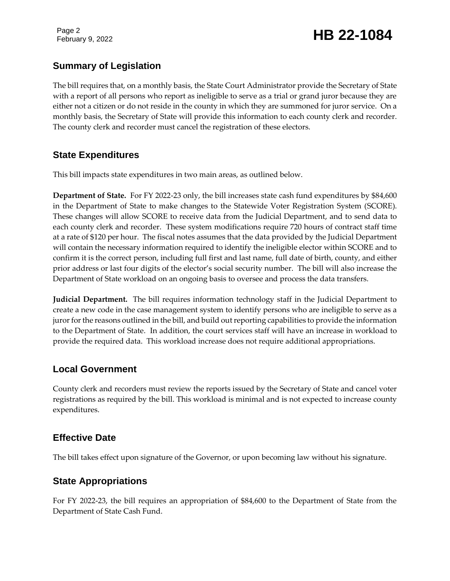Page 2

### February 9, 2022 **HB 22-1084**

#### **Summary of Legislation**

The bill requires that, on a monthly basis, the State Court Administrator provide the Secretary of State with a report of all persons who report as ineligible to serve as a trial or grand juror because they are either not a citizen or do not reside in the county in which they are summoned for juror service. On a monthly basis, the Secretary of State will provide this information to each county clerk and recorder. The county clerk and recorder must cancel the registration of these electors.

#### **State Expenditures**

This bill impacts state expenditures in two main areas, as outlined below.

**Department of State.** For FY 2022-23 only, the bill increases state cash fund expenditures by \$84,600 in the Department of State to make changes to the Statewide Voter Registration System (SCORE). These changes will allow SCORE to receive data from the Judicial Department, and to send data to each county clerk and recorder. These system modifications require 720 hours of contract staff time at a rate of \$120 per hour. The fiscal notes assumes that the data provided by the Judicial Department will contain the necessary information required to identify the ineligible elector within SCORE and to confirm it is the correct person, including full first and last name, full date of birth, county, and either prior address or last four digits of the elector's social security number. The bill will also increase the Department of State workload on an ongoing basis to oversee and process the data transfers.

**Judicial Department.** The bill requires information technology staff in the Judicial Department to create a new code in the case management system to identify persons who are ineligible to serve as a juror for the reasons outlined in the bill, and build out reporting capabilities to provide the information to the Department of State. In addition, the court services staff will have an increase in workload to provide the required data. This workload increase does not require additional appropriations.

#### **Local Government**

County clerk and recorders must review the reports issued by the Secretary of State and cancel voter registrations as required by the bill. This workload is minimal and is not expected to increase county expenditures.

#### **Effective Date**

The bill takes effect upon signature of the Governor, or upon becoming law without his signature.

### **State Appropriations**

For FY 2022-23, the bill requires an appropriation of \$84,600 to the Department of State from the Department of State Cash Fund.